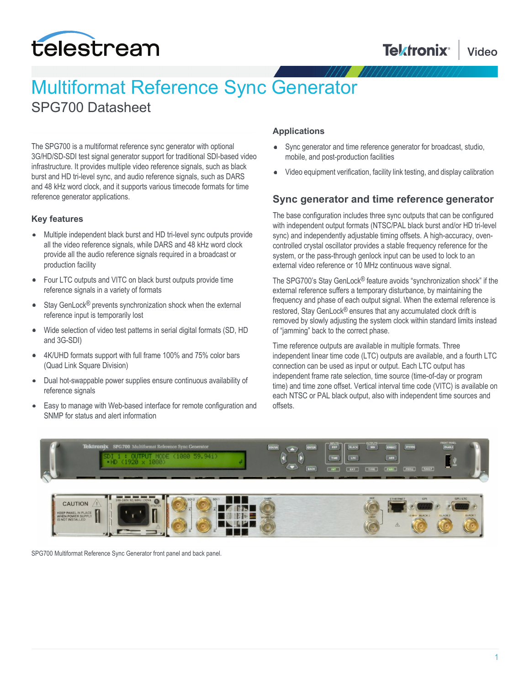

# Multiformat Reference Sync Generator

SPG700 Datasheet

The SPG700 is a multiformat reference sync generator with optional 3G/HD/SD-SDI test signal generator support for traditional SDI-based video infrastructure. It provides multiple video reference signals, such as black burst and HD tri-level sync, and audio reference signals, such as DARS and 48 kHz word clock, and it supports various timecode formats for time reference generator applications.

### **Key features**

- Multiple independent black burst and HD tri-level sync outputs provide all the video reference signals, while DARS and 48 kHz word clock provide all the audio reference signals required in a broadcast or production facility
- Four LTC outputs and VITC on black burst outputs provide time reference signals in a variety of formats
- Stay GenLock® prevents synchronization shock when the external  $\bullet$ reference input is temporarily lost
- Wide selection of video test patterns in serial digital formats (SD, HD  $\bullet$ and 3G-SDI)
- 4K/UHD formats support with full frame 100% and 75% color bars  $\bullet$ (Quad Link Square Division)
- $\bullet$ Dual hot-swappable power supplies ensure continuous availability of reference signals
- Easy to manage with Web-based interface for remote configuration and  $\bullet$ SNMP for status and alert information

### **Applications**

- Sync generator and time reference generator for broadcast, studio,  $\bullet$ mobile, and post-production facilities
- Video equipment verification, facility link testing, and display calibration

### **Sync generator and time reference generator**

The base configuration includes three sync outputs that can be configured with independent output formats (NTSC/PAL black burst and/or HD tri-level sync) and independently adjustable timing offsets. A high-accuracy, ovencontrolled crystal oscillator provides a stable frequency reference for the system, or the pass-through genlock input can be used to lock to an external video reference or 10 MHz continuous wave signal.

The SPG700's Stay GenLock® feature avoids "synchronization shock" if the external reference suffers a temporary disturbance, by maintaining the frequency and phase of each output signal. When the external reference is restored, Stay GenLock® ensures that any accumulated clock drift is removed by slowly adjusting the system clock within standard limits instead of "jamming" back to the correct phase.

Time reference outputs are available in multiple formats. Three independent linear time code (LTC) outputs are available, and a fourth LTC connection can be used as input or output. Each LTC output has independent frame rate selection, time source (time-of-day or program time) and time zone offset. Vertical interval time code (VITC) is available on each NTSC or PAL black output, also with independent time sources and offsets.



SPG700 Multiformat Reference Sync Generator front panel and back panel.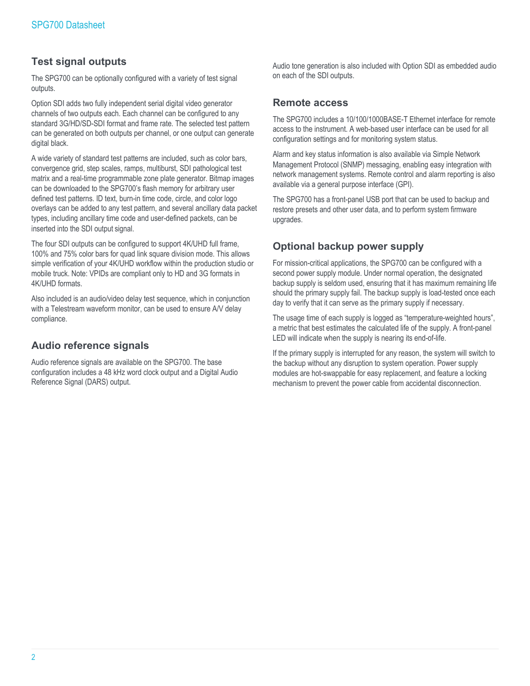### **Test signal outputs**

The SPG700 can be optionally configured with a variety of test signal outputs.

Option SDI adds two fully independent serial digital video generator channels of two outputs each. Each channel can be configured to any standard 3G/HD/SD-SDI format and frame rate. The selected test pattern can be generated on both outputs per channel, or one output can generate digital black.

A wide variety of standard test patterns are included, such as color bars, convergence grid, step scales, ramps, multiburst, SDI pathological test matrix and a real-time programmable zone plate generator. Bitmap images can be downloaded to the SPG700's flash memory for arbitrary user defined test patterns. ID text, burn-in time code, circle, and color logo overlays can be added to any test pattern, and several ancillary data packet types, including ancillary time code and user-defined packets, can be inserted into the SDI output signal.

The four SDI outputs can be configured to support 4K/UHD full frame, 100% and 75% color bars for quad link square division mode. This allows simple verification of your 4K/UHD workflow within the production studio or mobile truck. Note: VPIDs are compliant only to HD and 3G formats in 4K/UHD formats.

Also included is an audio/video delay test sequence, which in conjunction with a Telestream waveform monitor, can be used to ensure A/V delay compliance.

### **Audio reference signals**

Audio reference signals are available on the SPG700. The base configuration includes a 48 kHz word clock output and a Digital Audio Reference Signal (DARS) output.

Audio tone generation is also included with Option SDI as embedded audio on each of the SDI outputs.

### **Remote access**

The SPG700 includes a 10/100/1000BASE-T Ethernet interface for remote access to the instrument. A web-based user interface can be used for all configuration settings and for monitoring system status.

Alarm and key status information is also available via Simple Network Management Protocol (SNMP) messaging, enabling easy integration with network management systems. Remote control and alarm reporting is also available via a general purpose interface (GPI).

The SPG700 has a front-panel USB port that can be used to backup and restore presets and other user data, and to perform system firmware upgrades.

### **Optional backup power supply**

For mission-critical applications, the SPG700 can be configured with a second power supply module. Under normal operation, the designated backup supply is seldom used, ensuring that it has maximum remaining life should the primary supply fail. The backup supply is load-tested once each day to verify that it can serve as the primary supply if necessary.

The usage time of each supply is logged as "temperature-weighted hours", a metric that best estimates the calculated life of the supply. A front-panel LED will indicate when the supply is nearing its end-of-life.

If the primary supply is interrupted for any reason, the system will switch to the backup without any disruption to system operation. Power supply modules are hot-swappable for easy replacement, and feature a locking mechanism to prevent the power cable from accidental disconnection.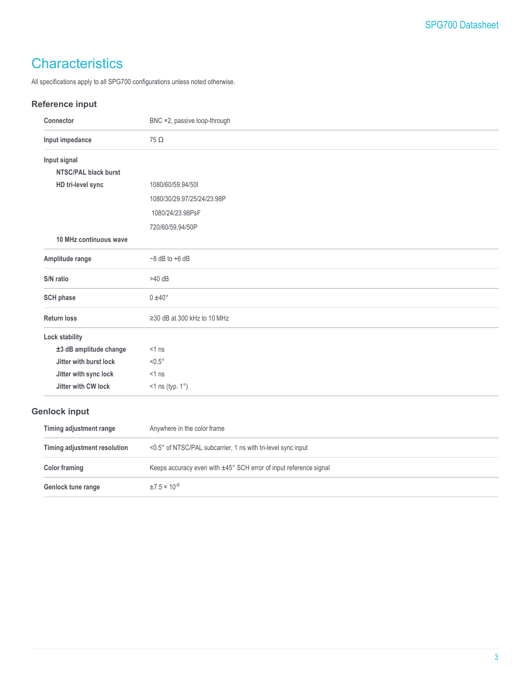# **Characteristics**

All specifications apply to all SPG700 configurations unless noted otherwise.

### **Reference input**

| Connector                    | BNC ×2, passive loop-through                                      |
|------------------------------|-------------------------------------------------------------------|
| Input impedance              | $75 \Omega$                                                       |
| Input signal                 |                                                                   |
| <b>NTSC/PAL black burst</b>  |                                                                   |
| HD tri-level sync            | 1080/60/59.94/501                                                 |
|                              | 1080/30/29.97/25/24/23.98P                                        |
|                              | 1080/24/23.98PsF                                                  |
|                              | 720/60/59.94/50P                                                  |
| 10 MHz continuous wave       |                                                                   |
| Amplitude range              | $-8$ dB to $+6$ dB                                                |
| S/N ratio                    | $>40$ dB                                                          |
| <b>SCH phase</b>             | $0 \pm 40^{\circ}$                                                |
| <b>Return loss</b>           | $\geq$ 30 dB at 300 kHz to 10 MHz                                 |
| Lock stability               |                                                                   |
| ±3 dB amplitude change       | $<1$ ns                                                           |
| Jitter with burst lock       | $< 0.5^\circ$                                                     |
| Jitter with sync lock        | $<1$ ns                                                           |
| Jitter with CW lock          | $<$ 1 ns (typ. 1 $^{\circ}$ )                                     |
| <b>Genlock input</b>         |                                                                   |
| Timing adjustment range      | Anywhere in the color frame                                       |
| Timing adjustment resolution | <0.5° of NTSC/PAL subcarrier, 1 ns with tri-level sync input      |
| <b>Color framing</b>         | Keeps accuracy even with ±45° SCH error of input reference signal |
| Genlock tune range           | $±7.5 \times 10^{-6}$                                             |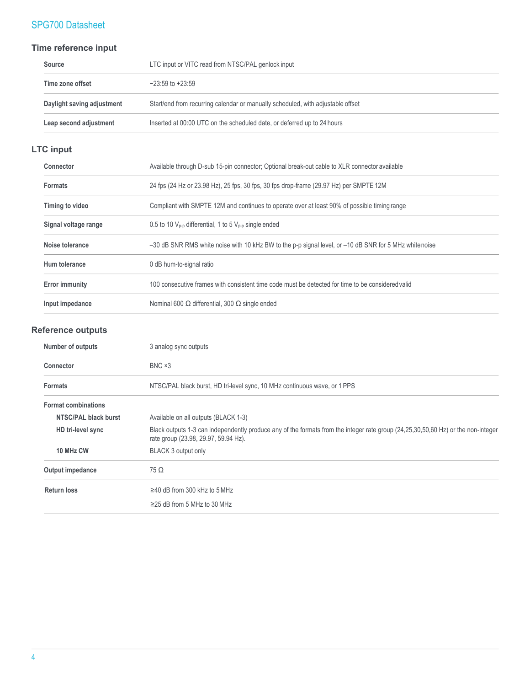### **Time reference input**

| <b>Source</b>              | LTC input or VITC read from NTSC/PAL genlock input                              |
|----------------------------|---------------------------------------------------------------------------------|
| Time zone offset           | $-23:59$ to $+23:59$                                                            |
| Daylight saving adjustment | Start/end from recurring calendar or manually scheduled, with adjustable offset |
| Leap second adjustment     | Inserted at 00:00 UTC on the scheduled date, or deferred up to 24 hours         |

### **LTC input**

| Connector             | Available through D-sub 15-pin connector; Optional break-out cable to XLR connector available          |
|-----------------------|--------------------------------------------------------------------------------------------------------|
| <b>Formats</b>        | 24 fps (24 Hz or 23.98 Hz), 25 fps, 30 fps, 30 fps drop-frame (29.97 Hz) per SMPTE 12M                 |
| Timing to video       | Compliant with SMPTE 12M and continues to operate over at least 90% of possible timing range           |
| Signal voltage range  | 0.5 to 10 $V_{p-p}$ differential, 1 to 5 $V_{p-p}$ single ended                                        |
| Noise tolerance       | -30 dB SNR RMS white noise with 10 kHz BW to the p-p signal level, or -10 dB SNR for 5 MHz white noise |
| Hum tolerance         | 0 dB hum-to-signal ratio                                                                               |
| <b>Error immunity</b> | 100 consecutive frames with consistent time code must be detected for time to be considered valid      |
| Input impedance       | Nominal 600 $\Omega$ differential, 300 $\Omega$ single ended                                           |

### **Reference outputs**

| <b>Number of outputs</b>   | 3 analog sync outputs                                                                                                                                                     |
|----------------------------|---------------------------------------------------------------------------------------------------------------------------------------------------------------------------|
| <b>Connector</b>           | $BNC \times 3$                                                                                                                                                            |
| <b>Formats</b>             | NTSC/PAL black burst, HD tri-level sync, 10 MHz continuous wave, or 1 PPS                                                                                                 |
| <b>Format combinations</b> |                                                                                                                                                                           |
| NTSC/PAL black burst       | Available on all outputs (BLACK 1-3)                                                                                                                                      |
| HD tri-level sync          | Black outputs 1-3 can independently produce any of the formats from the integer rate group (24,25,30,50,60 Hz) or the non-integer<br>rate group (23.98, 29.97, 59.94 Hz). |
| 10 MHz CW                  | BLACK 3 output only                                                                                                                                                       |
| Output impedance           | $75 \Omega$                                                                                                                                                               |
| <b>Return loss</b>         | $\geq$ 40 dB from 300 kHz to 5 MHz                                                                                                                                        |
|                            | $\geq$ 25 dB from 5 MHz to 30 MHz                                                                                                                                         |
|                            |                                                                                                                                                                           |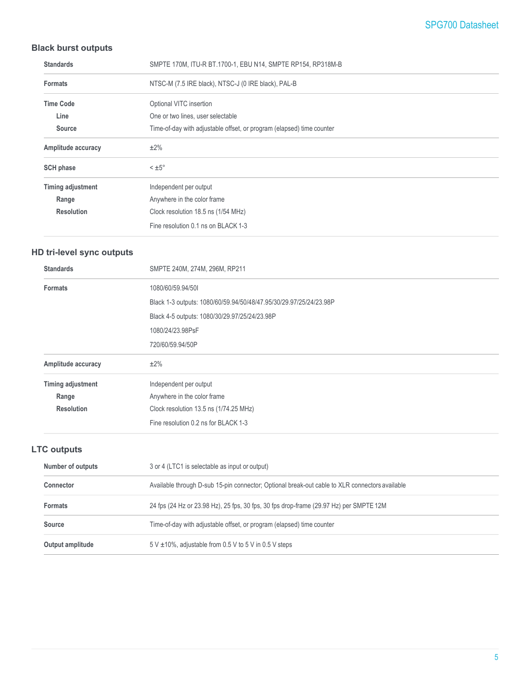### **Black burst outputs**

| <b>Standards</b>   | SMPTE 170M, ITU-R BT.1700-1, EBU N14, SMPTE RP154, RP318M-B           |
|--------------------|-----------------------------------------------------------------------|
| <b>Formats</b>     | NTSC-M (7.5 IRE black), NTSC-J (0 IRE black), PAL-B                   |
| <b>Time Code</b>   | Optional VITC insertion                                               |
| Line               | One or two lines, user selectable                                     |
| Source             | Time-of-day with adjustable offset, or program (elapsed) time counter |
| Amplitude accuracy | $±2\%$                                                                |
| <b>SCH phase</b>   | $< \pm 5^{\circ}$                                                     |
| Timing adjustment  | Independent per output                                                |
| Range              | Anywhere in the color frame                                           |
| <b>Resolution</b>  | Clock resolution 18.5 ns (1/54 MHz)                                   |
|                    | Fine resolution 0.1 ns on BLACK 1-3                                   |

### **HD tri-level sync outputs**

| <b>Standards</b>         | SMPTE 240M, 274M, 296M, RP211                                      |
|--------------------------|--------------------------------------------------------------------|
| <b>Formats</b>           | 1080/60/59.94/501                                                  |
|                          | Black 1-3 outputs: 1080/60/59.94/50/48/47.95/30/29.97/25/24/23.98P |
|                          | Black 4-5 outputs: 1080/30/29.97/25/24/23.98P                      |
|                          | 1080/24/23.98PsF                                                   |
|                          | 720/60/59.94/50P                                                   |
| Amplitude accuracy       | ±2%                                                                |
| <b>Timing adjustment</b> | Independent per output                                             |
| Range                    | Anywhere in the color frame                                        |
| <b>Resolution</b>        | Clock resolution 13.5 ns (1/74.25 MHz)                             |
|                          | Fine resolution 0.2 ns for BLACK 1-3                               |

### **LTC outputs**

| Number of outputs | 3 or 4 (LTC1 is selectable as input or output)                                                 |
|-------------------|------------------------------------------------------------------------------------------------|
| <b>Connector</b>  | Available through D-sub 15-pin connector; Optional break-out cable to XLR connectors available |
| <b>Formats</b>    | 24 fps (24 Hz or 23.98 Hz), 25 fps, 30 fps, 30 fps drop-frame (29.97 Hz) per SMPTE 12M         |
| <b>Source</b>     | Time-of-day with adjustable offset, or program (elapsed) time counter                          |
| Output amplitude  | $5 \text{ V } \pm 10\%$ , adjustable from 0.5 V to 5 V in 0.5 V steps                          |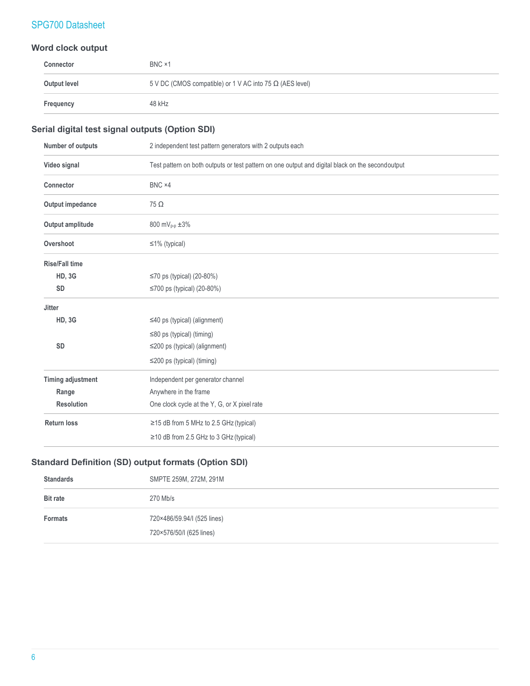### **Word clock output**

| Connector    | BNC ×1                                                          |
|--------------|-----------------------------------------------------------------|
| Output level | 5 V DC (CMOS compatible) or 1 V AC into 75 $\Omega$ (AES level) |
| Frequency    | 48 kHz                                                          |

### **Serial digital test signal outputs (Option SDI)**

| Number of outputs        | 2 independent test pattern generators with 2 outputs each                                        |
|--------------------------|--------------------------------------------------------------------------------------------------|
| Video signal             | Test pattern on both outputs or test pattern on one output and digital black on the secondoutput |
| Connector                | BNC ×4                                                                                           |
| Output impedance         | $75\Omega$                                                                                       |
| Output amplitude         | 800 mV <sub>p-p</sub> $\pm 3\%$                                                                  |
| Overshoot                | $\leq$ 1% (typical)                                                                              |
| <b>Rise/Fall time</b>    |                                                                                                  |
| <b>HD, 3G</b>            | ≤70 ps (typical) $(20-80%)$                                                                      |
| <b>SD</b>                | ≤700 ps (typical) (20-80%)                                                                       |
| <b>Jitter</b>            |                                                                                                  |
| <b>HD, 3G</b>            | $\leq$ 40 ps (typical) (alignment)                                                               |
|                          | $\leq$ 80 ps (typical) (timing)                                                                  |
| <b>SD</b>                | $\leq$ 200 ps (typical) (alignment)                                                              |
|                          | $\leq$ 200 ps (typical) (timing)                                                                 |
| <b>Timing adjustment</b> | Independent per generator channel                                                                |
| Range                    | Anywhere in the frame                                                                            |
| <b>Resolution</b>        | One clock cycle at the Y, G, or X pixel rate                                                     |
| <b>Return loss</b>       | $\ge$ 15 dB from 5 MHz to 2.5 GHz (typical)                                                      |
|                          | $\geq$ 10 dB from 2.5 GHz to 3 GHz (typical)                                                     |

### **Standard Definition (SD) output formats (Option SDI)**

| <b>Standards</b> | SMPTE 259M, 272M, 291M                                  |
|------------------|---------------------------------------------------------|
| <b>Bit rate</b>  | 270 Mb/s                                                |
| <b>Formats</b>   | 720×486/59.94/I (525 lines)<br>720×576/50/I (625 lines) |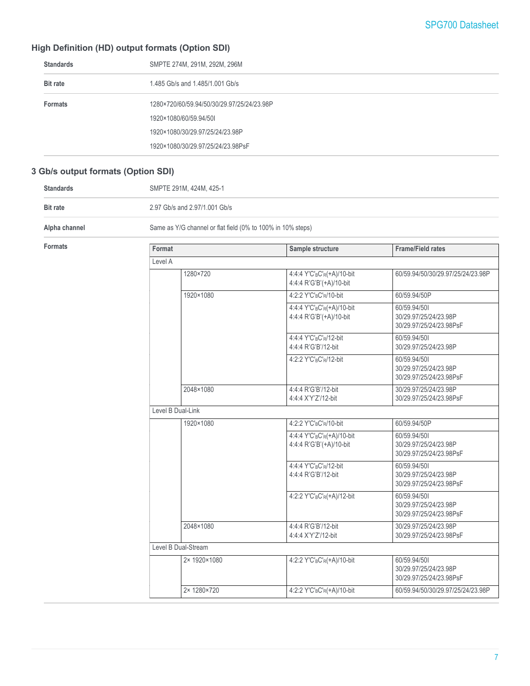### **High Definition (HD) output formats (Option SDI)**

| <b>Standards</b> | SMPTE 274M, 291M, 292M, 296M               |
|------------------|--------------------------------------------|
| <b>Bit rate</b>  | 1.485 Gb/s and 1.485/1.001 Gb/s            |
| <b>Formats</b>   | 1280×720/60/59.94/50/30/29.97/25/24/23.98P |
|                  | 1920×1080/60/59.94/50I                     |
|                  | 1920×1080/30/29.97/25/24/23.98P            |
|                  | 1920×1080/30/29.97/25/24/23.98PsF          |
|                  |                                            |

### **3 Gb/s output formats (Option SDI)**

| <b>Standards</b> | SMPTE 291M, 424M, 425-1                                     |
|------------------|-------------------------------------------------------------|
| <b>Bit rate</b>  | 2.97 Gb/s and 2.97/1.001 Gb/s                               |
| Alpha channel    | Same as Y/G channel or flat field (0% to 100% in 10% steps) |

|                   | Sample structure                                                               | <b>Frame/Field rates</b>                                         |  |
|-------------------|--------------------------------------------------------------------------------|------------------------------------------------------------------|--|
| Level A           |                                                                                |                                                                  |  |
| 1280×720          | 4:4:4 Y'C' <sub>B</sub> C' <sub>R</sub> (+A)/10-bit<br>4:4:4 R'G'B'(+A)/10-bit | 60/59.94/50/30/29.97/25/24/23.98P                                |  |
| 1920×1080         | 4:2:2 Y'C'BC'R/10-bit                                                          | 60/59.94/50P                                                     |  |
|                   | 4:4:4 Y'C'BC'R(+A)/10-bit<br>4:4:4 R'G'B'(+A)/10-bit                           | 60/59.94/501<br>30/29.97/25/24/23.98P<br>30/29.97/25/24/23.98PsF |  |
|                   | 4:4:4 Y'C'BC'R/12-bit<br>4:4:4 R'G'B'/12-bit                                   | 60/59.94/501<br>30/29.97/25/24/23.98P                            |  |
|                   | 4:2:2 Y'C' <sub>B</sub> C' <sub>R</sub> /12-bit                                | 60/59.94/501<br>30/29.97/25/24/23.98P<br>30/29.97/25/24/23.98PsF |  |
| 2048×1080         | 4:4:4 R'G'B'/12-bit<br>4:4:4 X'Y'Z'/12-bit                                     | 30/29.97/25/24/23.98P<br>30/29.97/25/24/23.98PsF                 |  |
| Level B Dual-Link |                                                                                |                                                                  |  |
| 1920×1080         | 4:2:2 Y'C'BC'R/10-bit                                                          | 60/59.94/50P                                                     |  |
|                   | 4:4:4 Y'C' <sub>B</sub> C' <sub>R</sub> (+A)/10-bit<br>4:4:4 R'G'B'(+A)/10-bit | 60/59.94/501<br>30/29.97/25/24/23.98P<br>30/29.97/25/24/23.98PsF |  |
|                   | 4:4:4 Y'C'BC'R/12-bit<br>4:4:4 R'G'B'/12-bit                                   | 60/59.94/501<br>30/29.97/25/24/23.98P<br>30/29.97/25/24/23.98PsF |  |
|                   | 4:2:2 Y'C'BC'R(+A)/12-bit                                                      | 60/59.94/501<br>30/29.97/25/24/23.98P<br>30/29.97/25/24/23.98PsF |  |
| 2048×1080         | 4:4:4 R'G'B'/12-bit<br>4:4:4 X'Y'Z'/12-bit                                     | 30/29.97/25/24/23.98P<br>30/29.97/25/24/23.98PsF                 |  |
|                   |                                                                                |                                                                  |  |
| 2× 1920×1080      | 4:2:2 Y'C'BC'R(+A)/10-bit                                                      | 60/59.94/501<br>30/29.97/25/24/23.98P<br>30/29.97/25/24/23.98PsF |  |
| 2× 1280×720       | 4:2:2 Y'C'BC'R(+A)/10-bit                                                      | 60/59.94/50/30/29.97/25/24/23.98P                                |  |
|                   | Format<br>Level B Dual-Stream                                                  |                                                                  |  |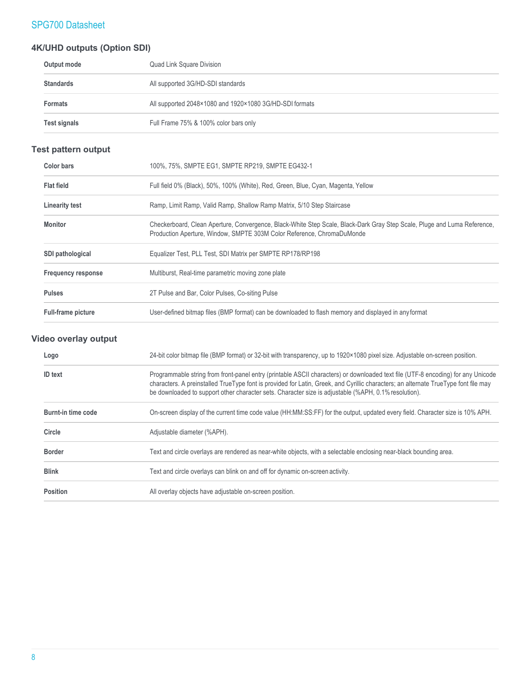### **4K/UHD outputs (Option SDI)**

| Output mode      | Quad Link Square Division                               |
|------------------|---------------------------------------------------------|
| <b>Standards</b> | All supported 3G/HD-SDI standards                       |
| <b>Formats</b>   | All supported 2048×1080 and 1920×1080 3G/HD-SDI formats |
| Test signals     | Full Frame 75% & 100% color bars only                   |

### **Test pattern output**

| <b>Color bars</b>         | 100%, 75%, SMPTE EG1, SMPTE RP219, SMPTE EG432-1                                                                                                                                                   |
|---------------------------|----------------------------------------------------------------------------------------------------------------------------------------------------------------------------------------------------|
| <b>Flat field</b>         | Full field 0% (Black), 50%, 100% (White), Red, Green, Blue, Cyan, Magenta, Yellow                                                                                                                  |
| <b>Linearity test</b>     | Ramp, Limit Ramp, Valid Ramp, Shallow Ramp Matrix, 5/10 Step Staircase                                                                                                                             |
| Monitor                   | Checkerboard, Clean Aperture, Convergence, Black-White Step Scale, Black-Dark Gray Step Scale, Pluge and Luma Reference,<br>Production Aperture, Window, SMPTE 303M Color Reference, ChromaDuMonde |
| <b>SDI pathological</b>   | Equalizer Test, PLL Test, SDI Matrix per SMPTE RP178/RP198                                                                                                                                         |
| <b>Frequency response</b> | Multiburst, Real-time parametric moving zone plate                                                                                                                                                 |
| <b>Pulses</b>             | 2T Pulse and Bar, Color Pulses, Co-siting Pulse                                                                                                                                                    |
| <b>Full-frame picture</b> | User-defined bitmap files (BMP format) can be downloaded to flash memory and displayed in any format                                                                                               |

### **Video overlay output**

| Logo               | 24-bit color bitmap file (BMP format) or 32-bit with transparency, up to 1920×1080 pixel size. Adjustable on-screen position.                                                                                                                                                                                                                                                   |
|--------------------|---------------------------------------------------------------------------------------------------------------------------------------------------------------------------------------------------------------------------------------------------------------------------------------------------------------------------------------------------------------------------------|
| <b>ID</b> text     | Programmable string from front-panel entry (printable ASCII characters) or downloaded text file (UTF-8 encoding) for any Unicode<br>characters. A preinstalled TrueType font is provided for Latin, Greek, and Cyrillic characters; an alternate TrueType font file may<br>be downloaded to support other character sets. Character size is adjustable (%APH, 0.1% resolution). |
| Burnt-in time code | On-screen display of the current time code value (HH:MM:SS:FF) for the output, updated every field. Character size is 10% APH.                                                                                                                                                                                                                                                  |
| Circle             | Adjustable diameter (%APH).                                                                                                                                                                                                                                                                                                                                                     |
| <b>Border</b>      | Text and circle overlays are rendered as near-white objects, with a selectable enclosing near-black bounding area.                                                                                                                                                                                                                                                              |
| <b>Blink</b>       | Text and circle overlays can blink on and off for dynamic on-screen activity.                                                                                                                                                                                                                                                                                                   |
| <b>Position</b>    | All overlay objects have adjustable on-screen position.                                                                                                                                                                                                                                                                                                                         |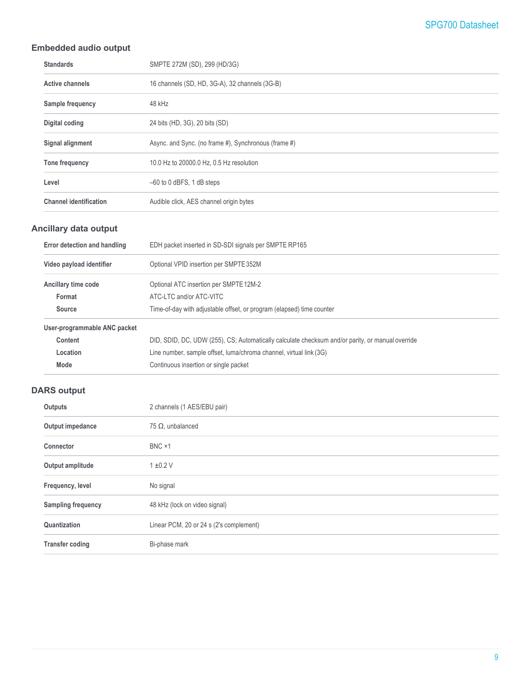### **Embedded audio output**

| <b>Standards</b>              | SMPTE 272M (SD), 299 (HD/3G)                         |
|-------------------------------|------------------------------------------------------|
| <b>Active channels</b>        | 16 channels (SD, HD, 3G-A), 32 channels (3G-B)       |
| Sample frequency              | 48 kHz                                               |
| Digital coding                | 24 bits (HD, 3G), 20 bits (SD)                       |
| Signal alignment              | Async. and Sync. (no frame #), Synchronous (frame #) |
| Tone frequency                | 10.0 Hz to 20000.0 Hz, 0.5 Hz resolution             |
| Level                         | $-60$ to 0 dBFS, 1 dB steps                          |
| <b>Channel identification</b> | Audible click, AES channel origin bytes              |

### **Ancillary data output**

| Error detection and handling | EDH packet inserted in SD-SDI signals per SMPTE RP165                                            |
|------------------------------|--------------------------------------------------------------------------------------------------|
| Video payload identifier     | Optional VPID insertion per SMPTE 352M                                                           |
| Ancillary time code          | Optional ATC insertion per SMPTE 12M-2                                                           |
| Format                       | ATC-LTC and/or ATC-VITC                                                                          |
| <b>Source</b>                | Time-of-day with adjustable offset, or program (elapsed) time counter                            |
| User-programmable ANC packet |                                                                                                  |
| Content                      | DID, SDID, DC, UDW (255), CS; Automatically calculate checksum and/or parity, or manual override |
| Location                     | Line number, sample offset, luma/chroma channel, virtual link (3G)                               |

# **DARS output**

**Mode** Continuous insertion or single packet

| 2 channels (1 AES/EBU pair)             |
|-----------------------------------------|
| 75 $\Omega$ , unbalanced                |
| BNC ×1                                  |
| $1 \pm 0.2$ V                           |
| No signal                               |
| 48 kHz (lock on video signal)           |
| Linear PCM, 20 or 24 s (2's complement) |
| Bi-phase mark                           |
|                                         |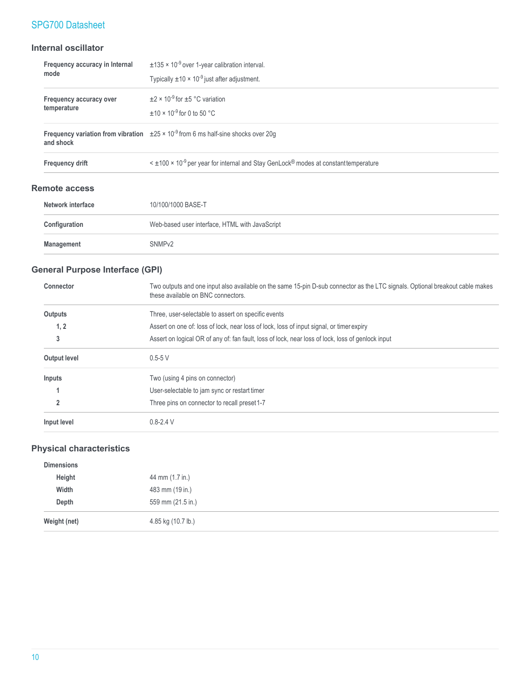### **Internal oscillator**

| Frequency accuracy in Internal | $\pm$ 135 × 10 <sup>-9</sup> over 1-year calibration interval.                                                          |
|--------------------------------|-------------------------------------------------------------------------------------------------------------------------|
| mode                           | Typically $\pm 10 \times 10^{-9}$ just after adjustment.                                                                |
| Frequency accuracy over        | $\pm$ 2 × 10 <sup>-9</sup> for $\pm$ 5 °C variation                                                                     |
| temperature                    | $+10 \times 10^{-9}$ for 0 to 50 °C                                                                                     |
| and shock                      | Frequency variation from vibration $\pm 25 \times 10^{-9}$ from 6 ms half-sine shocks over 20g                          |
| <b>Frequency drift</b>         | $\leq$ ±100 $\times$ 10 <sup>-9</sup> per year for internal and Stay GenLock <sup>®</sup> modes at constant temperature |

### **Remote access**

| Network interface | 10/100/1000 BASE-T                             |
|-------------------|------------------------------------------------|
| Configuration     | Web-based user interface, HTML with JavaScript |
| Management        | SNMP <sub>v2</sub>                             |

### **General Purpose Interface (GPI)**

| Connector           | Two outputs and one input also available on the same 15-pin D-sub connector as the LTC signals. Optional breakout cable makes<br>these available on BNC connectors. |
|---------------------|---------------------------------------------------------------------------------------------------------------------------------------------------------------------|
| Outputs             | Three, user-selectable to assert on specific events                                                                                                                 |
| 1, 2                | Assert on one of: loss of lock, near loss of lock, loss of input signal, or timer expiry                                                                            |
| 3                   | Assert on logical OR of any of: fan fault, loss of lock, near loss of lock, loss of genlock input                                                                   |
| <b>Output level</b> | $0.5 - 5$ V                                                                                                                                                         |
| Inputs              | Two (using 4 pins on connector)                                                                                                                                     |
|                     | User-selectable to jam sync or restart timer                                                                                                                        |
| 2                   | Three pins on connector to recall preset 1-7                                                                                                                        |
| Input level         | $0.8 - 2.4$ V                                                                                                                                                       |

### **Physical characteristics**

| <b>Dimensions</b> |                    |
|-------------------|--------------------|
| Height            | 44 mm (1.7 in.)    |
| Width             | 483 mm (19 in.)    |
| Depth             | 559 mm (21.5 in.)  |
| Weight (net)      | 4.85 kg (10.7 lb.) |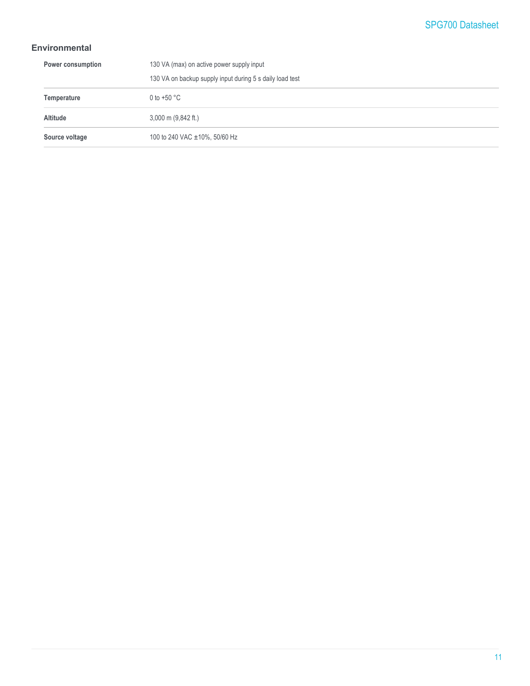### **Environmental**

| Power consumption | 130 VA (max) on active power supply input                |
|-------------------|----------------------------------------------------------|
|                   | 130 VA on backup supply input during 5 s daily load test |
| Temperature       | 0 to +50 $^{\circ}$ C                                    |
| <b>Altitude</b>   | $3,000$ m $(9,842$ ft.)                                  |
| Source voltage    | 100 to 240 VAC ±10%, 50/60 Hz                            |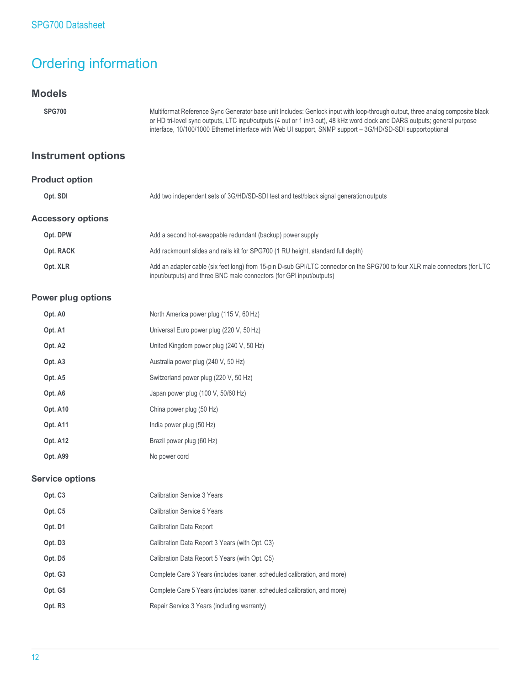# Ordering information

### **Models**

| <b>SPG700</b>             | Multiformat Reference Sync Generator base unit Includes: Genlock input with loop-through output, three analog composite black<br>or HD tri-level sync outputs, LTC input/outputs (4 out or 1 in/3 out), 48 kHz word clock and DARS outputs; general purpose<br>interface, 10/100/1000 Ethernet interface with Web UI support, SNMP support – 3G/HD/SD-SDI supportoptional |  |  |
|---------------------------|---------------------------------------------------------------------------------------------------------------------------------------------------------------------------------------------------------------------------------------------------------------------------------------------------------------------------------------------------------------------------|--|--|
| <b>Instrument options</b> |                                                                                                                                                                                                                                                                                                                                                                           |  |  |
| <b>Product option</b>     |                                                                                                                                                                                                                                                                                                                                                                           |  |  |
| Opt. SDI                  | Add two independent sets of 3G/HD/SD-SDI test and test/black signal generation outputs                                                                                                                                                                                                                                                                                    |  |  |
| <b>Accessory options</b>  |                                                                                                                                                                                                                                                                                                                                                                           |  |  |
| Opt. DPW                  | Add a second hot-swappable redundant (backup) power supply                                                                                                                                                                                                                                                                                                                |  |  |
| Opt. RACK                 | Add rackmount slides and rails kit for SPG700 (1 RU height, standard full depth)                                                                                                                                                                                                                                                                                          |  |  |
| Opt. XLR                  | Add an adapter cable (six feet long) from 15-pin D-sub GPI/LTC connector on the SPG700 to four XLR male connectors (for LTC<br>input/outputs) and three BNC male connectors (for GPI input/outputs)                                                                                                                                                                       |  |  |

### **Power plug options**

| Opt. A0             | North America power plug (115 V, 60 Hz)  |
|---------------------|------------------------------------------|
| Opt. A1             | Universal Euro power plug (220 V, 50 Hz) |
| Opt. A <sub>2</sub> | United Kingdom power plug (240 V, 50 Hz) |
| Opt. A <sub>3</sub> | Australia power plug (240 V, 50 Hz)      |
| Opt. A5             | Switzerland power plug (220 V, 50 Hz)    |
| Opt. A6             | Japan power plug (100 V, 50/60 Hz)       |
| Opt. A10            | China power plug (50 Hz)                 |
| <b>Opt. A11</b>     | India power plug (50 Hz)                 |
| Opt. A12            | Brazil power plug (60 Hz)                |
| Opt. A99            | No power cord                            |
|                     |                                          |

### **Service options**

| Opt. C <sub>3</sub> | <b>Calibration Service 3 Years</b>                                       |
|---------------------|--------------------------------------------------------------------------|
| Opt. C <sub>5</sub> | Calibration Service 5 Years                                              |
| Opt. D1             | <b>Calibration Data Report</b>                                           |
| Opt. D <sub>3</sub> | Calibration Data Report 3 Years (with Opt. C3)                           |
| Opt. D5             | Calibration Data Report 5 Years (with Opt. C5)                           |
| Opt. G3             | Complete Care 3 Years (includes loaner, scheduled calibration, and more) |
| Opt. G5             | Complete Care 5 Years (includes loaner, scheduled calibration, and more) |
| Opt. R <sub>3</sub> | Repair Service 3 Years (including warranty)                              |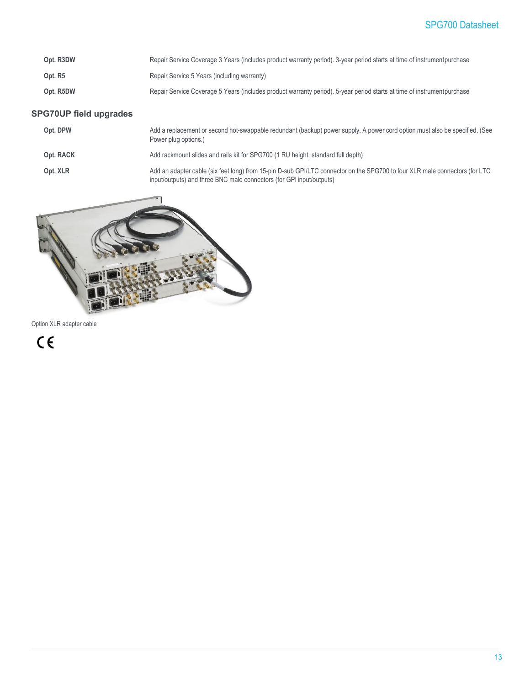| Opt. R3DW | Repair Service Coverage 3 Years (includes product warranty period). 3-year period starts at time of instrument purchase |
|-----------|-------------------------------------------------------------------------------------------------------------------------|
| Opt. R5   | Repair Service 5 Years (including warranty)                                                                             |
| Opt. R5DW | Repair Service Coverage 5 Years (includes product warranty period). 5-year period starts at time of instrument purchase |

### **SPG70UP field upgrades**

| Opt. DPW  | Add a replacement or second hot-swappable redundant (backup) power supply. A power cord option must also be specified. (See<br>Power plug options.)                                                 |
|-----------|-----------------------------------------------------------------------------------------------------------------------------------------------------------------------------------------------------|
| Opt. RACK | Add rackmount slides and rails kit for SPG700 (1 RU height, standard full depth)                                                                                                                    |
| Opt. XLR  | Add an adapter cable (six feet long) from 15-pin D-sub GPI/LTC connector on the SPG700 to four XLR male connectors (for LTC<br>input/outputs) and three BNC male connectors (for GPI input/outputs) |



Option XLR adapter cable

 $C \in$